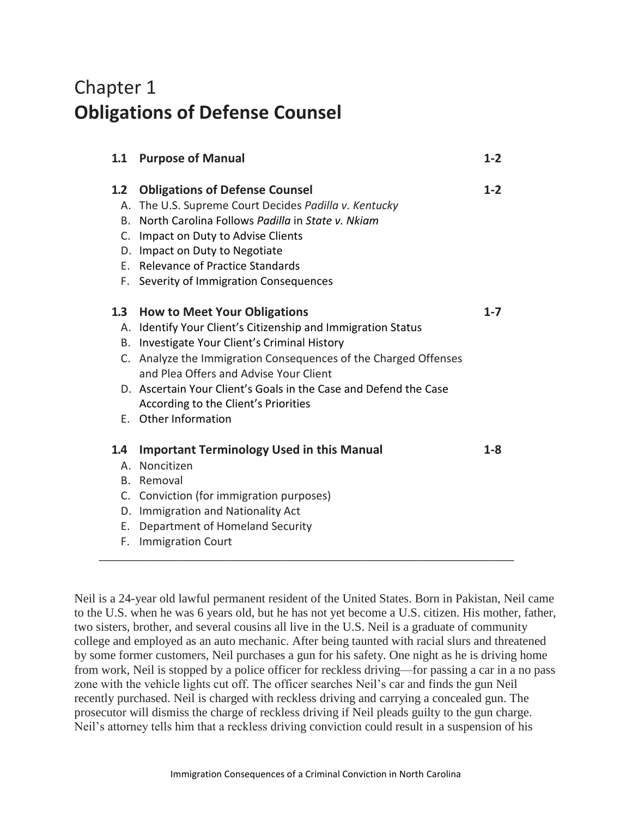## Chapter 1 **Obligations of Defense Counsel**

|                                                      | 1.1 Purpose of Manual                                                                                                                                                                                                                                                                         | $1 - 2$ |
|------------------------------------------------------|-----------------------------------------------------------------------------------------------------------------------------------------------------------------------------------------------------------------------------------------------------------------------------------------------|---------|
| $1.2\phantom{0}$<br>Α.<br>B.<br>C.<br>D.<br>F.<br>F. | <b>Obligations of Defense Counsel</b><br>The U.S. Supreme Court Decides Padilla v. Kentucky<br>North Carolina Follows Padilla in State v. Nkiam<br>Impact on Duty to Advise Clients<br>Impact on Duty to Negotiate<br>Relevance of Practice Standards<br>Severity of Immigration Consequences | $1 - 2$ |
| 1.3                                                  | <b>How to Meet Your Obligations</b>                                                                                                                                                                                                                                                           | $1 - 7$ |
| Α.                                                   | Identify Your Client's Citizenship and Immigration Status                                                                                                                                                                                                                                     |         |
|                                                      | B. Investigate Your Client's Criminal History                                                                                                                                                                                                                                                 |         |
|                                                      | C. Analyze the Immigration Consequences of the Charged Offenses<br>and Plea Offers and Advise Your Client                                                                                                                                                                                     |         |
|                                                      | D. Ascertain Your Client's Goals in the Case and Defend the Case<br>According to the Client's Priorities                                                                                                                                                                                      |         |
|                                                      | E. Other Information                                                                                                                                                                                                                                                                          |         |
| 1.4                                                  | <b>Important Terminology Used in this Manual</b>                                                                                                                                                                                                                                              | $1-8$   |
| Α.                                                   | Noncitizen                                                                                                                                                                                                                                                                                    |         |
|                                                      | B. Removal                                                                                                                                                                                                                                                                                    |         |
|                                                      | C. Conviction (for immigration purposes)                                                                                                                                                                                                                                                      |         |
| D.                                                   | Immigration and Nationality Act                                                                                                                                                                                                                                                               |         |
| Е.                                                   | Department of Homeland Security                                                                                                                                                                                                                                                               |         |
| F.                                                   | <b>Immigration Court</b>                                                                                                                                                                                                                                                                      |         |

Neil is a 24-year old lawful permanent resident of the United States. Born in Pakistan, Neil came to the U.S. when he was 6 years old, but he has not yet become a U.S. citizen. His mother, father, two sisters, brother, and several cousins all live in the U.S. Neil is a graduate of community college and employed as an auto mechanic. After being taunted with racial slurs and threatened by some former customers, Neil purchases a gun for his safety. One night as he is driving home from work, Neil is stopped by a police officer for reckless driving—for passing a car in a no pass zone with the vehicle lights cut off. The officer searches Neil's car and finds the gun Neil recently purchased. Neil is charged with reckless driving and carrying a concealed gun. The prosecutor will dismiss the charge of reckless driving if Neil pleads guilty to the gun charge. Neil's attorney tells him that a reckless driving conviction could result in a suspension of his